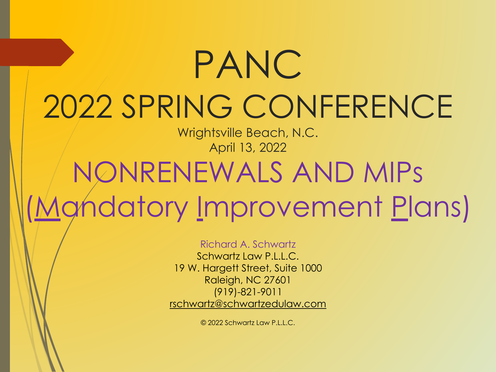# PANC 2022 SPRING CONFERENCE

Wrightsville Beach, N.C. April 13, 2022

# NONRENEWALS AND MIPs (Mandatory Improvement Plans)

Richard A. Schwartz Schwartz Law P.L.L.C. 19 W. Hargett Street, Suite 1000 Raleigh, NC 27601 (919)-821-9011 [rschwartz@schwartzedulaw.com](mailto:rschwartz@schwartzedulaw.com)

© 2022 Schwartz Law P.L.L.C.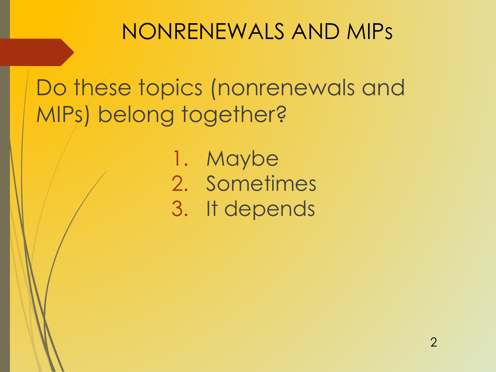Do these topics (nonrenewals and MIPs) belong together?

> 1. Maybe 2. Sometimes 3. It depends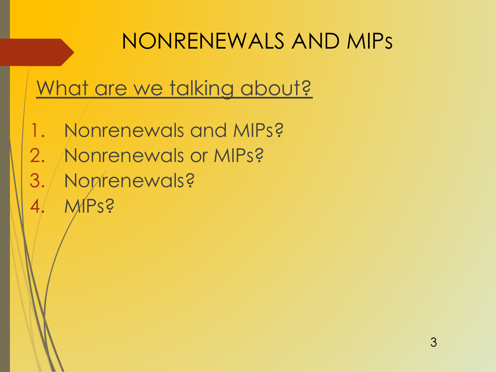What are we talking about?

- 1. Nonrenewals and MIPs?
- 2. Nonrenewals or MIPs?
- 3. Nonrenewals?
- 4. MPS?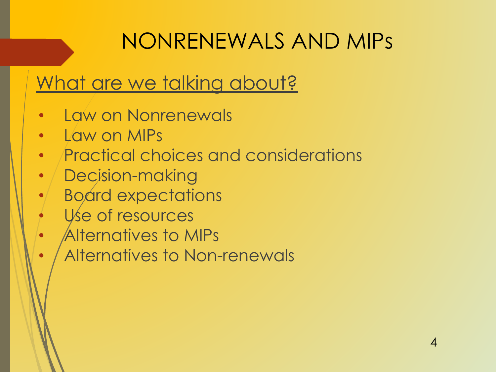### What are we talking about?

- Law on Nonrenewals
- Law on MIPs
- Practical choices and considerations
- Decision-making
- Board expectations
- Use of resources
- Alternatives to MIPs
- Alternatives to Non-renewals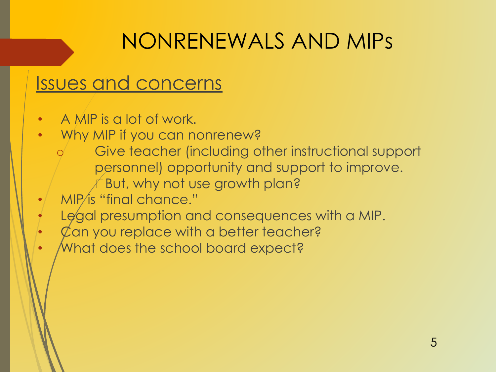#### Issues and concerns

- A MIP is a lot of work.
- Why MIP if you can nonrenew?
	- Give teacher (including other instructional support personnel) opportunity and support to improve.  $\triangle$ But, why not use growth plan?
- MIP/is "final chance."
- Legal presumption and consequences with a MIP.
- $\chi$  an you replace with a better teacher?
- What does the school board expect?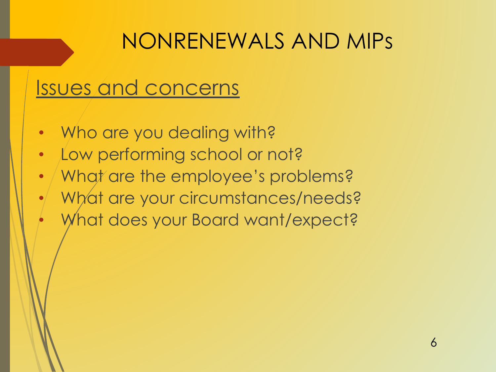### Issues and concerns

- Who are you dealing with?
- Low performing school or not?
- What are the employee's problems?
- What are your circumstances/needs?
- What does your Board want/expect?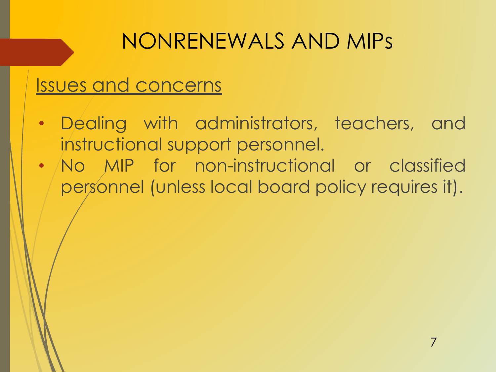#### Issues and concerns

- Dealing with administrators, teachers, and instructional support personnel.
- No MIP for non-instructional or classified personnel (unless local board policy requires it).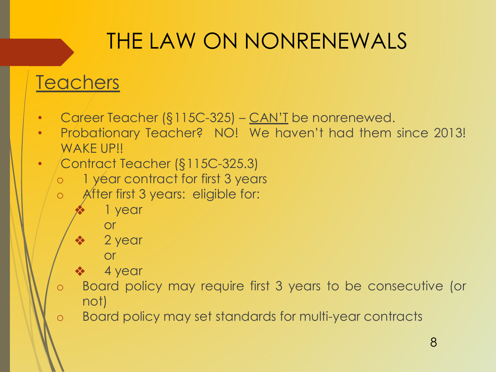### **Teachers**

- Career Teacher (§115C-325) CAN'T be nonrenewed.
- Probationary Teacher? NO! We haven't had them since 2013! WAKE UP!!
- / Contract Teacher (§115C-325.3)
	- o 1 year contract for first 3 years
	- o After first 3 years: eligible for:
		- 1 year
			- or
		- 2 year
			- or
		- ❖ 4 year
	- o Board policy may require first 3 years to be consecutive (or not)
	- o Board policy may set standards for multi-year contracts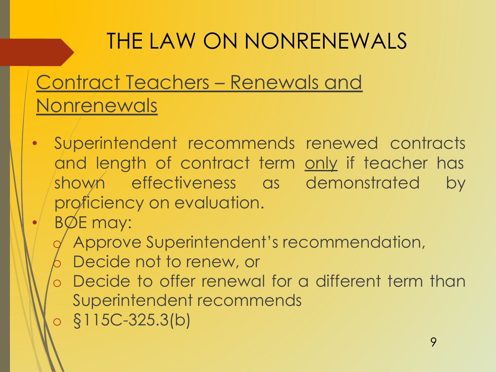### Contract Teachers – Renewals and **Nonrenewals**

- Superintendent recommends renewed contracts and length of contract term only if teacher has shown effectiveness as demonstrated by proficiency on evaluation.
- BOE may:
	- Approve Superintendent's recommendation,
	- Decide not to renew, or
	- o Decide to offer renewal for a different term than Superintendent recommends
	- $\circ$  §115C-325.3(b)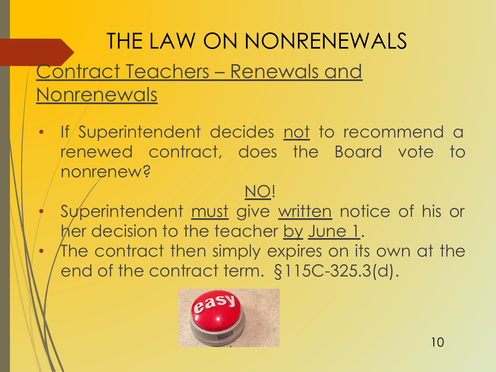THE LAW ON NONRENEWALS Contract Teachers – Renewals and **Nonrenewals** 

If Superintendent decides not to recommend a renewed contract, does the Board vote to nonrenew?

#### NO!

Superintendent must give written notice of his or her decision to the teacher by June 1. The contract then simply expires on its own at the end of the contract term. §115C-325.3(d).

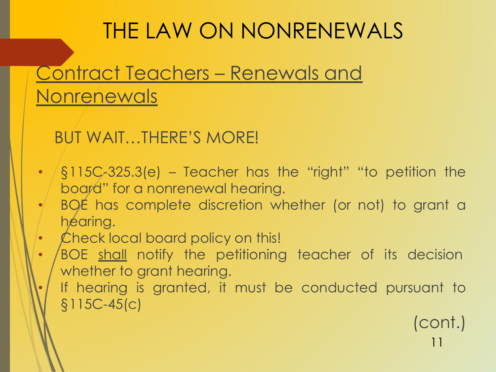### Contract Teachers – Renewals and **Nonrenewals**

#### BUT WAIT…THERE'S MORE!

- $\sqrt{\frac{1}{2}115C}$ -325.3(e) Teacher has the "right" "to petition the board" for a nonrenewal hearing.
- BOE has complete discretion whether (or not) to grant a héaring.
- Check local board policy on this!
- BOE shall notify the petitioning teacher of its decision whether to grant hearing.
- If hearing is granted, it must be conducted pursuant to §115C-45(c)

(cont.)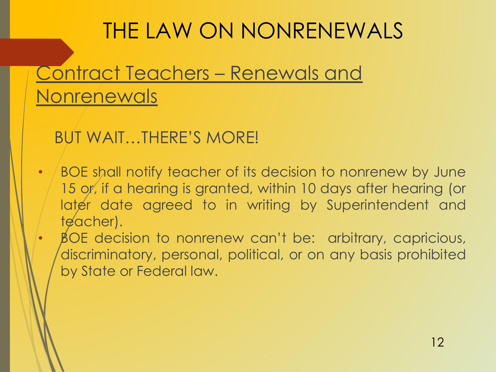### Contract Teachers – Renewals and **Nonrenewals**

### BUT WAIT…THERE'S MORE!

- / BOE shall notify teacher of its decision to nonrenew by June 15 or, if a hearing is granted, within 10 days after hearing (or later date agreed to in writing by Superintendent and teacher).
- BOE decision to nonrenew can't be: arbitrary, capricious, discriminatory, personal, political, or on any basis prohibited by State or Federal law.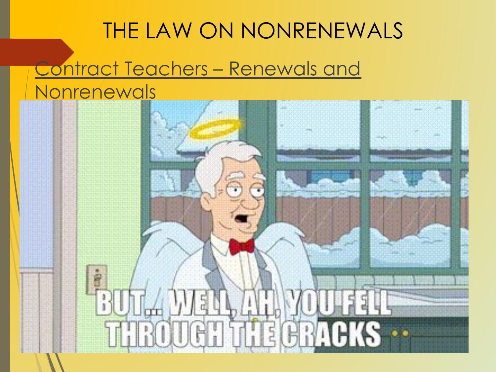## THE LAW ON NONRENEWALS Contract Teachers – Renewals and **Nonrenewals**

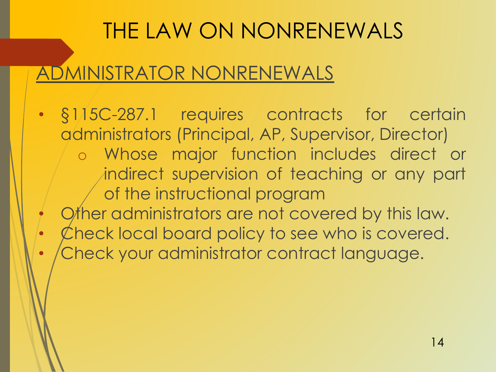- §115C-287.1 requires contracts for certain administrators (Principal, AP, Supervisor, Director) o Whose major function includes direct or indirect supervision of teaching or any part of the instructional program
- Other administrators are not covered by this law. Check local board policy to see who is covered. • Check your administrator contract language.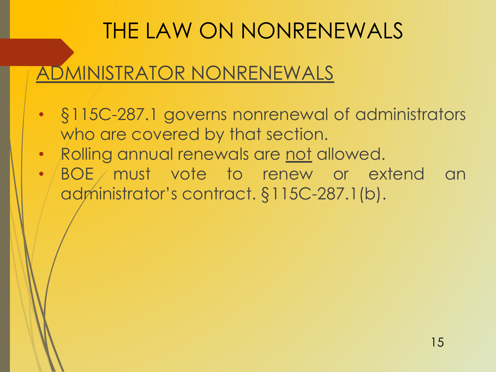- §115C-287.1 governs nonrenewal of administrators who are covered by that section.
- Rolling annual renewals are not allowed.
- BOE must vote to renew or extend an administrator's contract. §115C-287.1(b).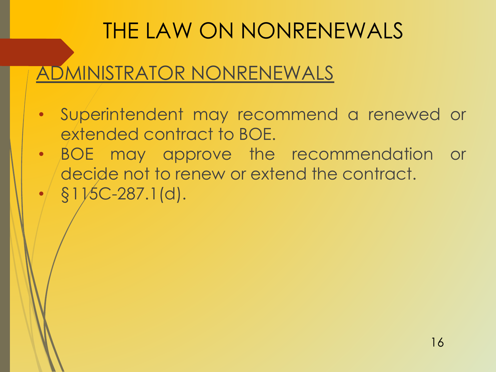- Superintendent may recommend a renewed or extended contract to BOE.
- BOE may approve the recommendation or decide not to renew or extend the contract.  $\cdot$  §115C-287.1(d).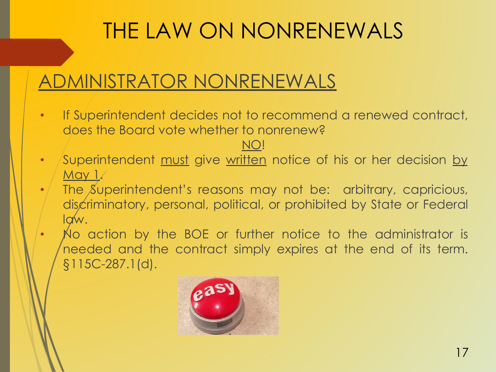- If Superintendent decides not to recommend a renewed contract, does the Board vote whether to nonrenew? NO!
- Superintendent must give written notice of his or her decision by May 1.
- The Superintendent's reasons may not be: arbitrary, capricious, discriminatory, personal, political, or prohibited by State or Federal law.
- No action by the BOE or further notice to the administrator is needed and the contract simply expires at the end of its term. §115C-287.1(d).

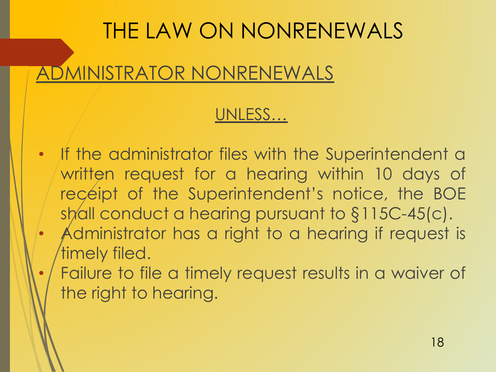### ADMINISTRATOR NONRENEWALS

#### UNLESS…

- If the administrator files with the Superintendent a written request for a hearing within 10 days of receipt of the Superintendent's notice, the BOE shall conduct a hearing pursuant to §115C-45(c).
- Administrator has a right to a hearing if request is timely filed.
- Failure to file a timely request results in a waiver of the right to hearing.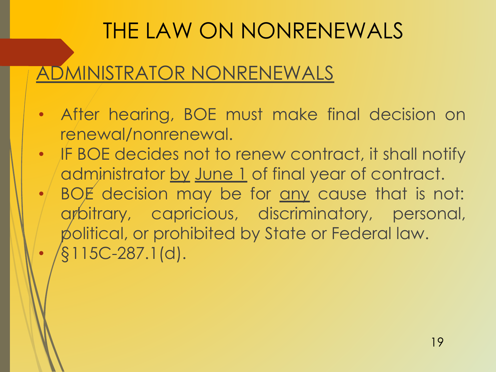- After hearing, BOE must make final decision on renewal/nonrenewal.
- IF BOE decides not to renew contract, it shall notify administrator by June 1 of final year of contract. BOE decision may be for <u>any</u> cause that is not: arbitrary, capricious, discriminatory, personal, political, or prohibited by State or Federal law. • §115C-287.1(d).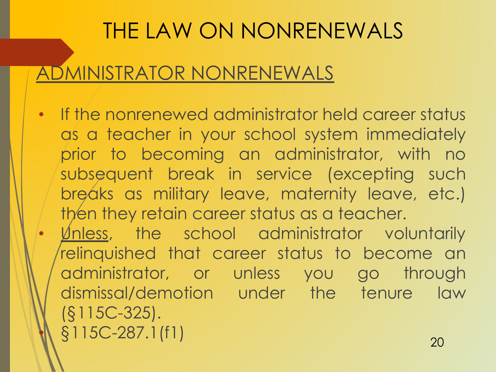- If the nonrenewed administrator held career status as a teacher in your school system immediately prior to becoming an administrator, with no subsequent break in service (excepting such breaks as military leave, maternity leave, etc.) then they retain career status as a teacher.
	- $20$ • Unless, the school administrator voluntarily relinquished that career status to become an administrator, or unless you go through dismissal/demotion under the tenure law (§115C-325). • §115C-287.1(f1)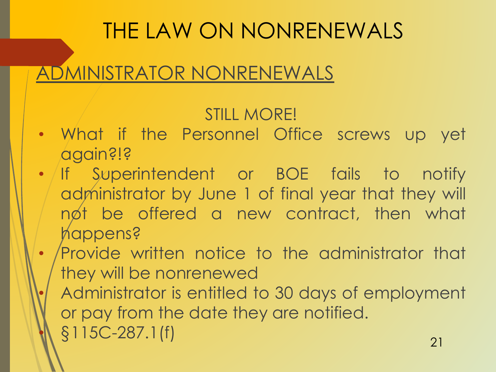### ADMINISTRATOR NONRENEWALS

#### STILL MORE!

- What if the Personnel Office screws up yet again?!?
- If Superintendent or BOE fails to notify administrator by June 1 of final year that they will not be offered a new contract, then what happens?
- /Provide written notice to the administrator that they will be nonrenewed
	- Administrator is entitled to 30 days of employment or pay from the date they are notified. • §115C-287.1(f)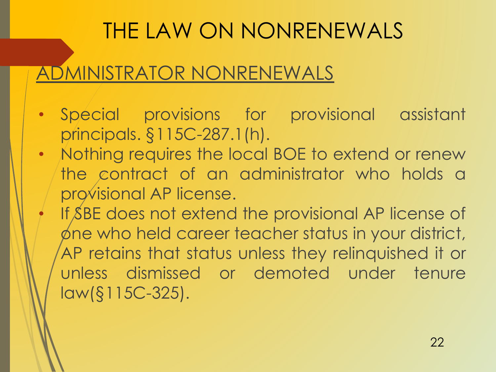- Special provisions for provisional assistant principals. §115C-287.1(h).
- Nothing requires the local BOE to extend or renew the contract of an administrator who holds a provisional AP license.
	- If SBE does not extend the provisional AP license of one who held career teacher status in your district, AP retains that status unless they relinquished it or unless dismissed or demoted under tenure law(§115C-325).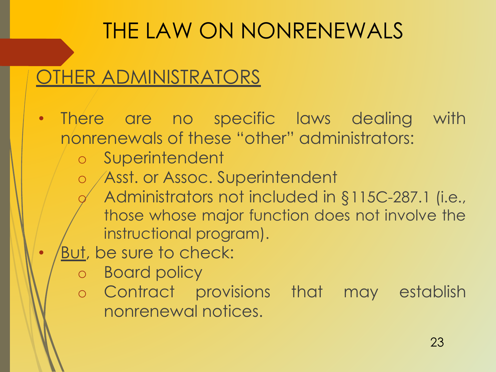### OTHER ADMINISTRATORS

- There are no specific laws dealing with nonrenewals of these "other" administrators:
	- o Superintendent
	- o Asst. or Assoc. Superintendent
		- Administrators not included in §115C-287.1 (i.e., those whose major function does not involve the instructional program).
	- But, be sure to check:
		- o Board policy
		- o Contract provisions that may establish nonrenewal notices.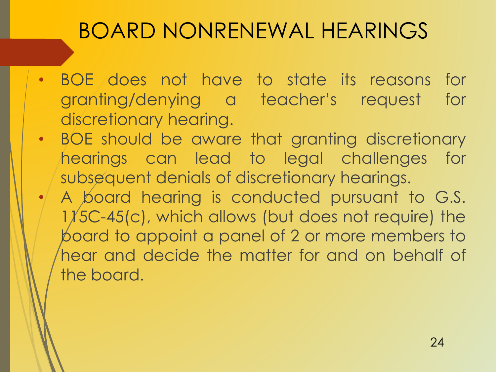- BOE does not have to state its reasons for granting/denying a teacher's request for discretionary hearing.
- BOE should be aware that granting discretionary hearings can lead to legal challenges for subsequent denials of discretionary hearings.
	- A board hearing is conducted pursuant to G.S.  $1/5C-45(c)$ , which allows (but does not require) the board to appoint a panel of 2 or more members to hear and decide the matter for and on behalf of the board.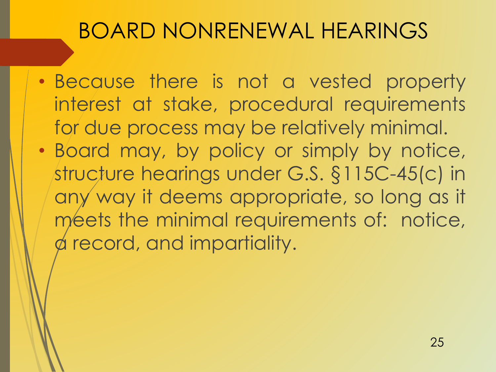- Because there is not a vested property interest at stake, procedural requirements for due process may be relatively minimal.
- Board may, by policy or simply by notice, structure hearings under G.S. §115C-45(c) in any way it deems appropriate, so long as it meets the minimal requirements of: notice, a record, and impartiality.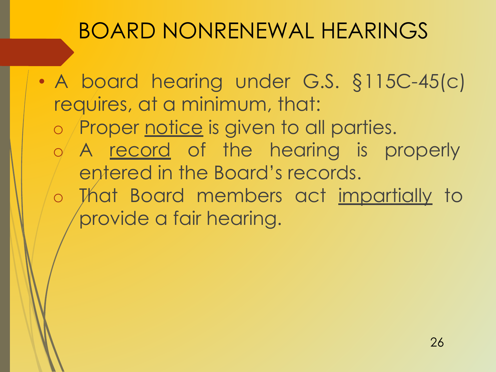• A board hearing under G.S. §115C-45(c) requires, at a minimum, that: o Proper notice is given to all parties. o A record of the hearing is properly entered in the Board's records. o That Board members act impartially to provide a fair hearing.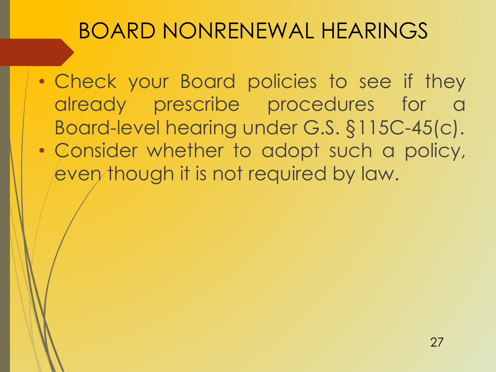- Check your Board policies to see if they already prescribe procedures for a Board-level hearing under G.S. §115C-45(c).
- Consider whether to adopt such a policy, even though it is not required by law.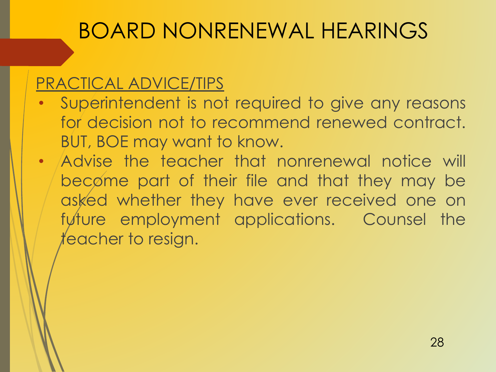- Superintendent is not required to give any reasons for decision not to recommend renewed contract. BUT, BOE may want to know.
- Advise the teacher that nonrenewal notice will become part of their file and that they may be asked whether they have ever received one on future employment applications. Counsel the teacher to resign.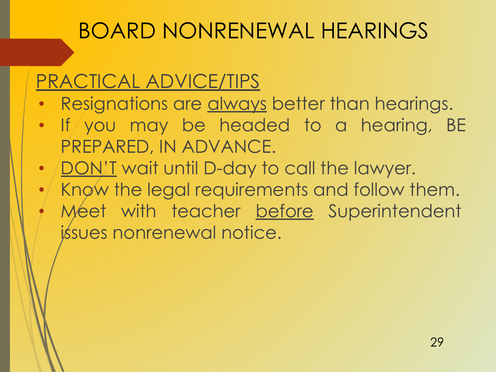- Resignations are always better than hearings.
- If you may be headed to a hearing, BE PREPARED, IN ADVANCE.
- <u>DON'T</u> wait until D-day to call the lawyer.
- Know the legal requirements and follow them. Meet with teacher before Superintendent issues nonrenewal notice.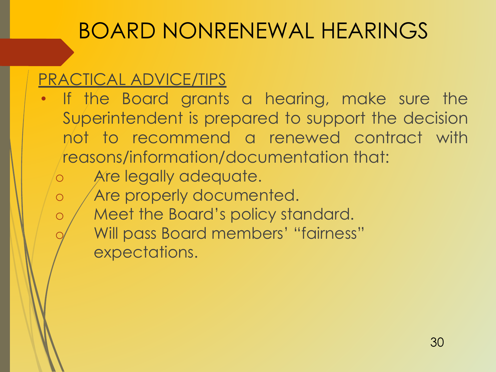- If the Board grants a hearing, make sure the Superintendent is prepared to support the decision not to recommend a renewed contract with reasons/information/documentation that:
	- o Are legally adequate.
	- o / Are properly documented.
	- o / Meet the Board's policy standard. Will pass Board members' "fairness" expectations.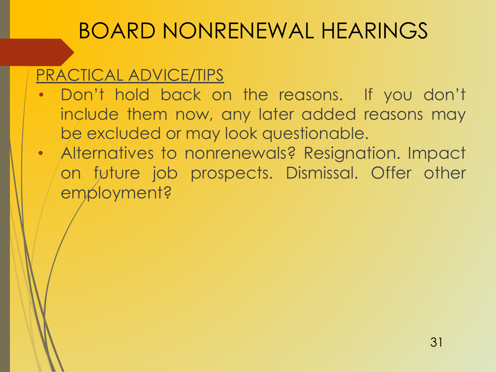- Don't hold back on the reasons. If you don't include them now, any later added reasons may be excluded or may look questionable.
- Alternatives to nonrenewals? Resignation. Impact on future job prospects. Dismissal. Offer other employment?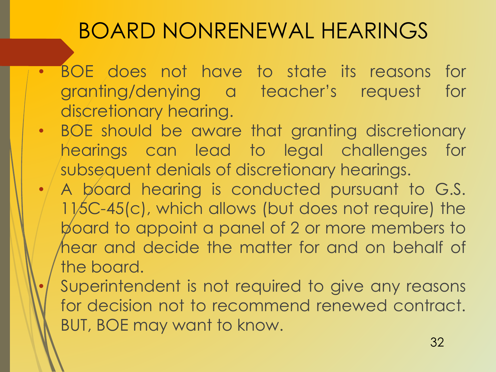- BOE does not have to state its reasons for granting/denying a teacher's request for discretionary hearing.
- BOE should be aware that granting discretionary hearings can lead to legal challenges for subsequent denials of discretionary hearings.
- A board hearing is conducted pursuant to G.S. 115C-45(c), which allows (but does not require) the board to appoint a panel of 2 or more members to hear and decide the matter for and on behalf of the board.
- Superintendent is not required to give any reasons for decision not to recommend renewed contract. BUT, BOE may want to know.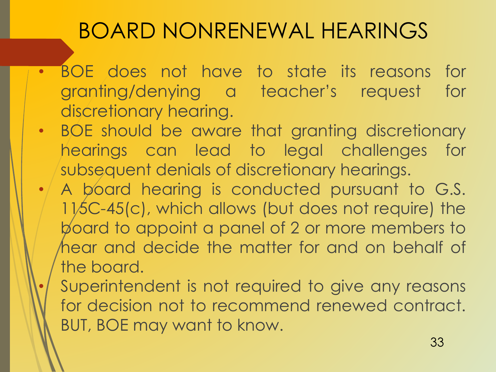- BOE does not have to state its reasons for granting/denying a teacher's request for discretionary hearing.
- BOE should be aware that granting discretionary hearings can lead to legal challenges for subsequent denials of discretionary hearings.
- A board hearing is conducted pursuant to G.S. 115C-45(c), which allows (but does not require) the board to appoint a panel of 2 or more members to hear and decide the matter for and on behalf of the board.
- Superintendent is not required to give any reasons for decision not to recommend renewed contract. BUT, BOE may want to know.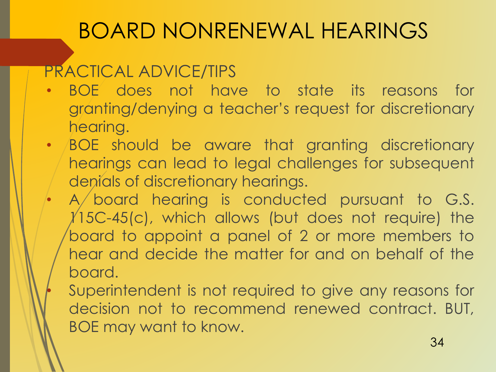- BOE does not have to state its reasons for granting/denying a teacher's request for discretionary hearing.
- BOE should be aware that granting discretionary hearings can lead to legal challenges for subsequent denials of discretionary hearings.
	- A board hearing is conducted pursuant to G.S.  $\chi$ 15C-45(c), which allows (but does not require) the board to appoint a panel of 2 or more members to hear and decide the matter for and on behalf of the board.
	- Superintendent is not required to give any reasons for decision not to recommend renewed contract. BUT, BOE may want to know.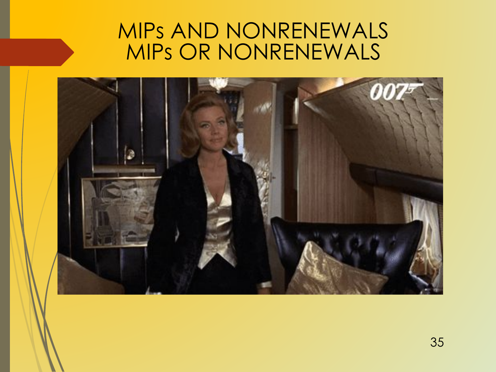### MIPs AND NONRENEWALS MIPs OR NONRENEWALS

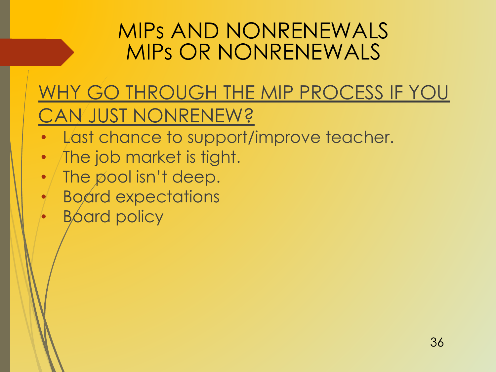### MIPs AND NONRENEWALS MIPs OR NONRENEWALS

### WHY GO THROUGH THE MIP PROCESS IF YOU CAN JUST NONRENEW?

- Last chance to support/improve teacher.
- The job market is tight.
- $\cdot$  The pool isn't deep.
- Board expectations
- **Board policy**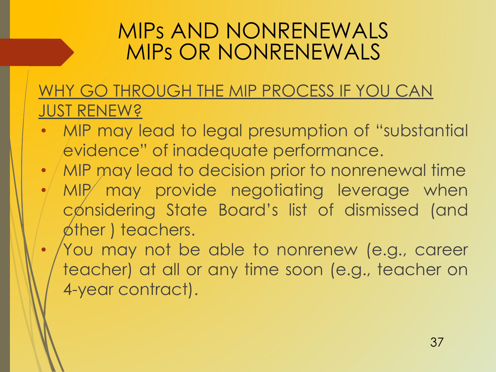### MIPs AND NONRENEWALS MIPs OR NONRENEWALS

#### WHY GO THROUGH THE MIP PROCESS IF YOU CAN JUST RENEW?

- MIP may lead to legal presumption of "substantial evidence" of inadequate performance.
- / MIP may lead to decision prior to nonrenewal time • MIP may provide negotiating leverage when considering State Board's list of dismissed (and other ) teachers.
	- You may not be able to nonrenew (e.g., career teacher) at all or any time soon (e.g., teacher on 4-year contract).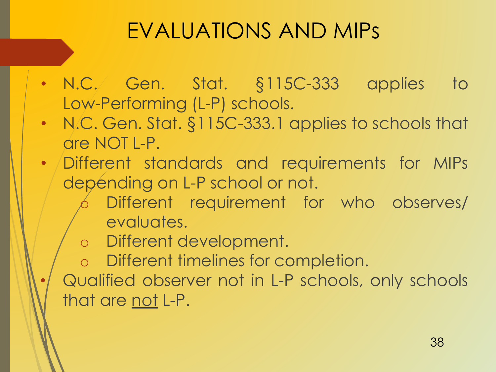## EVALUATIONS AND MIPs

- N.C./ Gen. Stat. §115C-333 applies to Low-Performing (L-P) schools.
- N.C. Gen. Stat. §115C-333.1 applies to schools that are NOT L-P.
- Different standards and requirements for MIPs depending on L-P school or not.
	- Different requirement for who observes/ evaluates.
	- o Different development.
	- o Different timelines for completion.

• Qualified observer not in L-P schools, only schools that are not L-P.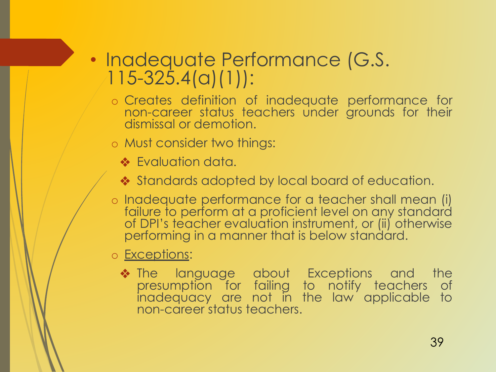### • Inadequate Performance (G.S. 115-325.4(a)(1)):

- o Creates definition of inadequate performance for non-career status teachers under grounds for their dismissal or demotion.
- o Must consider two things:
	- **❖ Evaluation data.**
	- ❖ Standards adopted by local board of education.
- o Inadequate performance for a teacher shall mean (i) failure to perform at a proficient level on any standard of DPI's teacher evaluation instrument, or (ii) otherwise performing in a manner that is below standard.
- o Exceptions:
	- ❖ The language about Exceptions and the presumption for failing to notify teachers of inadequacy are not in the law applicable to non-career status teachers.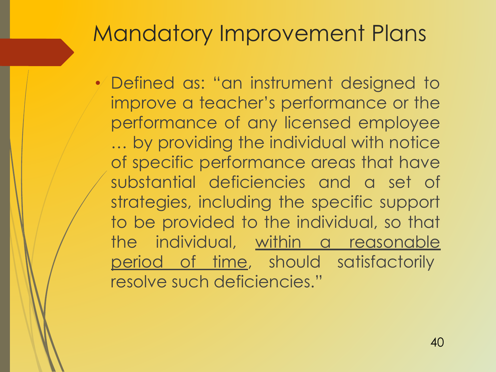• Defined as: "an instrument designed to improve a teacher's performance or the performance of any licensed employee … by providing the individual with notice of specific performance areas that have substantial deficiencies and a set of strategies, including the specific support to be provided to the individual, so that the individual, within a reasonable period of time, should satisfactorily resolve such deficiencies."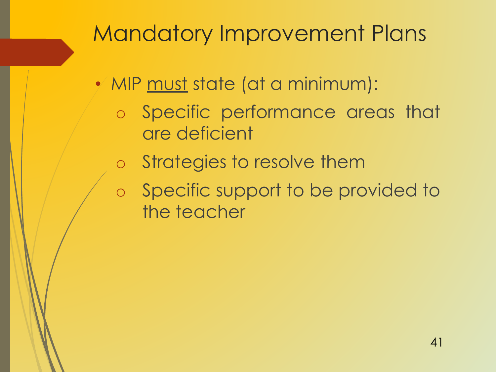- MIP must state (at a minimum):
	- o Specific performance areas that are deficient
	- o Strategies to resolve them
	- o Specific support to be provided to the teacher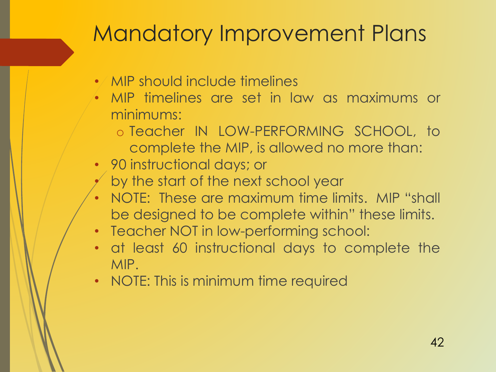- $\bullet$  MIP should include timelines
- MIP timelines are set in law as maximums or minimums:
	- o Teacher IN LOW-PERFORMING SCHOOL, to complete the MIP, is allowed no more than:
- 90 instructional days; or
- by the start of the next school year
- NOTE: These are maximum time limits. MIP "shall be designed to be complete within" these limits.
- Teacher NOT in low-performing school:
- at least 60 instructional days to complete the MIP.
- NOTE: This is minimum time required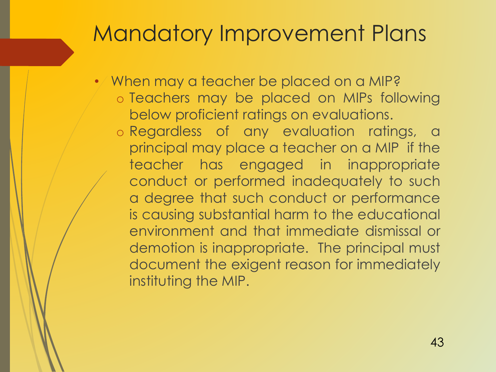- When may a teacher be placed on a MIP?
	- o Teachers may be placed on MIPs following below proficient ratings on evaluations.
	- o Regardless of any evaluation ratings, a principal may place a teacher on a MIP if the teacher has engaged in inappropriate conduct or performed inadequately to such a degree that such conduct or performance is causing substantial harm to the educational environment and that immediate dismissal or demotion is inappropriate. The principal must document the exigent reason for immediately instituting the MIP.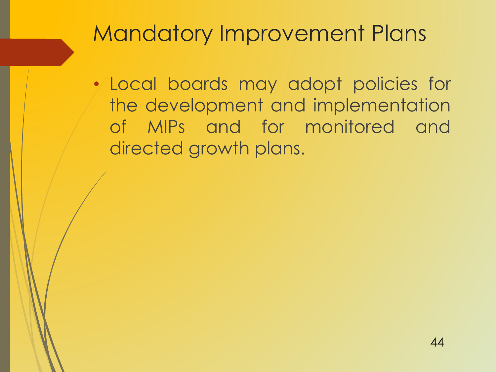• Local boards may adopt policies for the development and implementation of MIPs and for monitored and directed growth plans.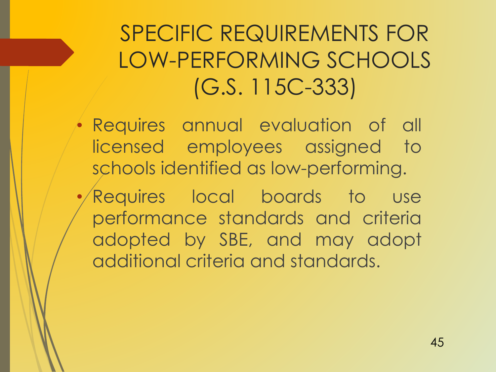- Requires annual evaluation of all licensed employees assigned to schools identified as low-performing.
	- Requires local boards to use performance standards and criteria adopted by SBE, and may adopt additional criteria and standards.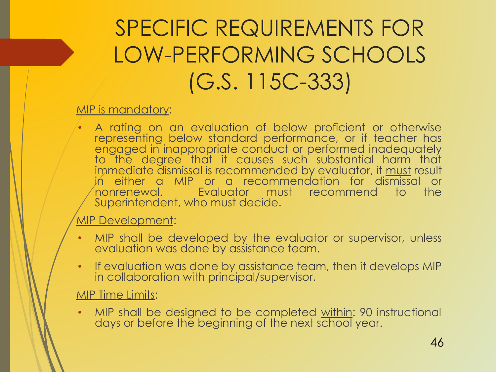#### MIP is mandatory:

A rating on an evaluation of below proficient or otherwise representing below standard performance, or if teacher has engaged in inappropriate conduct or performed inadequately to the degree that it causes such substantial harm that immediate dismissal is recommended by evaluator, it must result in either a MIP or a recommendation for dismissal or nonrenewal. Evaluator must recommend to the Superintendent, who must decide.

#### MIP Development:

- MIP shall be developed by the evaluator or supervisor, unless evaluation was done by assistance team.
- If evaluation was done by assistance team, then it develops MIP in collaboration with principal/supervisor.

#### MIP Time Limits:

• MIP shall be designed to be completed <u>within</u>: 90 instructional days or before the beginning of the next school year.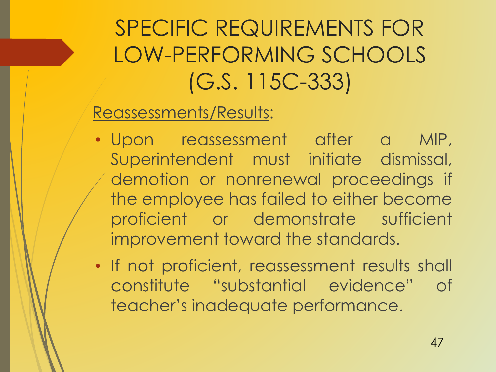#### Reassessments/Results:

- Upon reassessment after a MIP, Superintendent must initiate dismissal, demotion or nonrenewal proceedings if the employee has failed to either become proficient or demonstrate sufficient improvement toward the standards.
- If not proficient, reassessment results shall constitute "substantial evidence" of teacher's inadequate performance.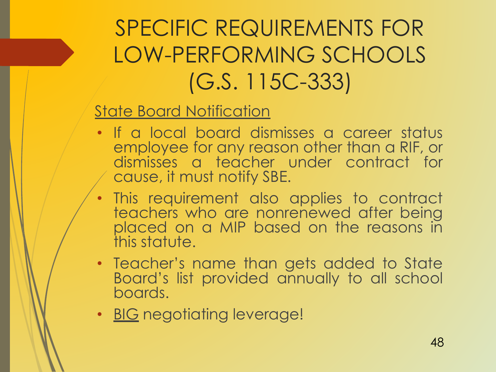#### State Board Notification

- If a local board dismisses a career status employee for any reason other than a RIF, or dismisses a teacher under contract for cause, it must notify SBE.
- This requirement also applies to contract teachers who are nonrenewed after being placed on a MIP based on the reasons in this statute.
- Teacher's name than gets added to State Board's list provided annually to all school boards.
- BIG negotiating leverage!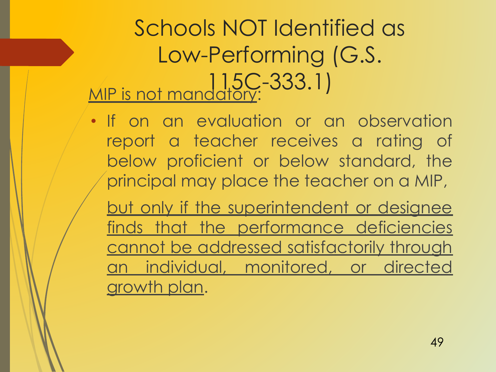### <u>MIP is not mandatory:</u> Schools NOT Identified as Low-Performing (G.S. 115C-333.1)

• If on an evaluation or an observation report a teacher receives a rating of below proficient or below standard, the principal may place the teacher on a MIP,

but only if the superintendent or designee finds that the performance deficiencies cannot be addressed satisfactorily through an individual, monitored, or directed growth plan.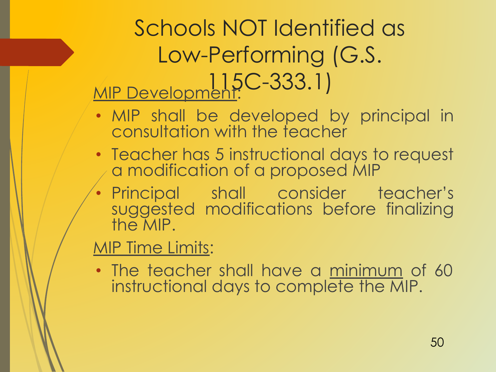### <u>MIP Development</u>: Schools NOT Identified as Low-Performing (G.S. 115C-333.1)

- MIP shall be developed by principal in consultation with the teacher
- Teacher has 5 instructional days to request a modification of a proposed MIP
- Principal shall consider teacher's suggested modifications before finalizing the MIP.

MIP Time Limits:

• The teacher shall have a minimum of 60 instructional days to complete the MIP.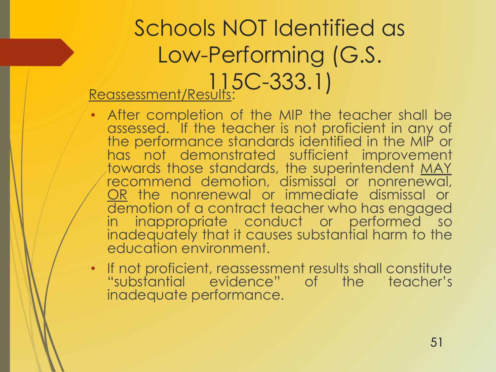### Reassessment/Results: Schools NOT Identified as Low-Performing (G.S. 115C-333.1)

- After completion of the MIP the teacher shall be assessed. If the teacher is not proficient in any of the performance standards identified in the MIP or has not demonstrated sufficient improvement towards those standards, the superintendent MAY recommend demotion, dismissal or nonrenewal, OR the nonrenewal or immediate dismissal or demotion of a contract teacher who has engaged in inappropriate conduct or performed so inadequately that it causes substantial harm to the education environment.
- If not proficient, reassessment results shall constitute "substantial evidence" of the teacher's inadequate performance.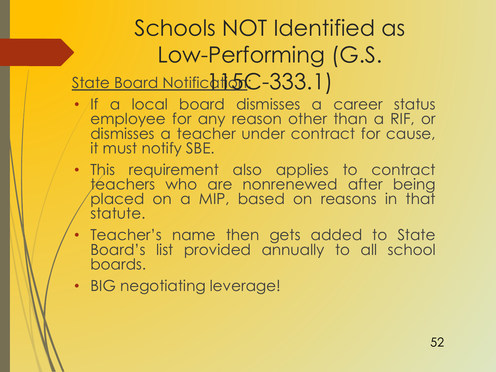# Schools NOT Identified as Low-Performing (G.S.

### State Board Notificht 10C-333.1)

- If a local board dismisses a career status employee for any reason other than a RIF, or dismisses a teacher under contract for cause, it must notify SBE.
- This requirement also applies to contract teachers who are nonrenewed after being placed on a MIP, based on reasons in that statute.
- Teacher's name then gets added to State Board's list provided annually to all school boards.
- BIG negotiating leverage!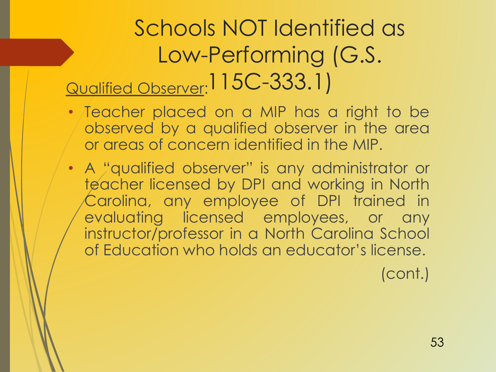## Qualified Observer: 115C-333.1)Schools NOT Identified as Low-Performing (G.S.

- Teacher placed on a MIP has a right to be observed by a qualified observer in the area or areas of concern identified in the MIP.
- A "qualified observer" is any administrator or teacher licensed by DPI and working in North Carolina, any employee of DPI trained in evaluating licensed employees, or any instructor/professor in a North Carolina School of Education who holds an educator's license.

(cont.)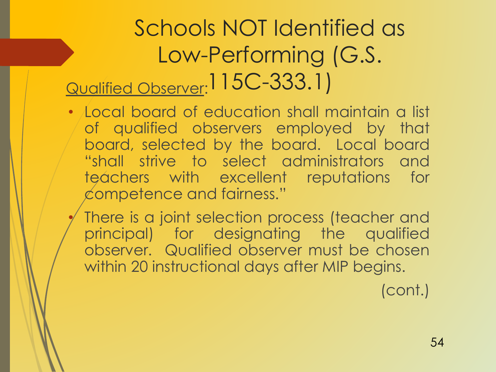## Qualified Observer: 115C-333.1)Schools NOT Identified as Low-Performing (G.S.

• Local board of education shall maintain a list of qualified observers employed by that board, selected by the board. Local board "shall strive to select administrators and teachers with excellent reputations for competence and fairness."

There is a joint selection process (teacher and principal) for designating the qualified observer. Qualified observer must be chosen within 20 instructional days after MIP begins.

(cont.)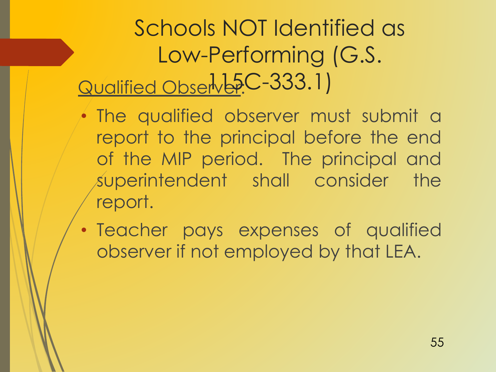Qualified Observer: C-333.1) Schools NOT Identified as Low-Performing (G.S.

- The qualified observer must submit a report to the principal before the end of the MIP period. The principal and superintendent shall consider the report.
- Teacher pays expenses of qualified observer if not employed by that LEA.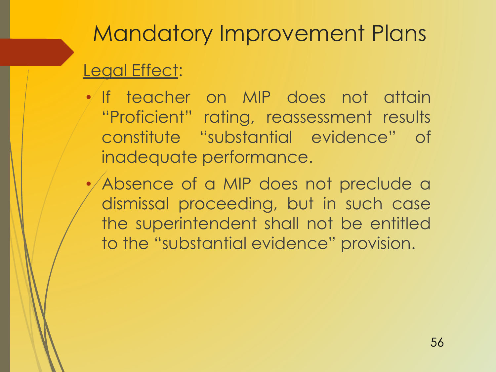#### Legal Effect:

- If teacher on MIP does not attain "Proficient" rating, reassessment results constitute "substantial evidence" of inadequate performance.
	- Absence of a MIP does not preclude a dismissal proceeding, but in such case the superintendent shall not be entitled to the "substantial evidence" provision.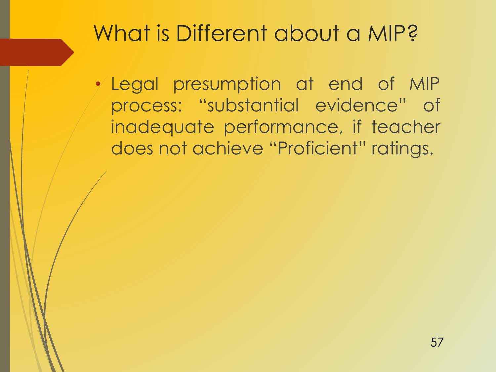## What is Different about a MIP?

• Legal presumption at end of MIP process: "substantial evidence" of inadequate performance, if teacher does not achieve "Proficient" ratings.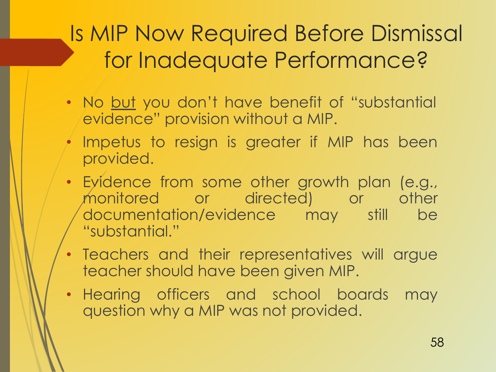## Is MIP Now Required Before Dismissal for Inadequate Performance?

- No but you don't have benefit of "substantial evidence" provision without a MIP.
- Impetus to resign is greater if MIP has been provided.
- Evidence from some other growth plan (e.g., monitored or directed) or other documentation/evidence may still be "substantial."
- Teachers and their representatives will argue teacher should have been given MIP.
- Hearing officers and school boards may question why a MIP was not provided.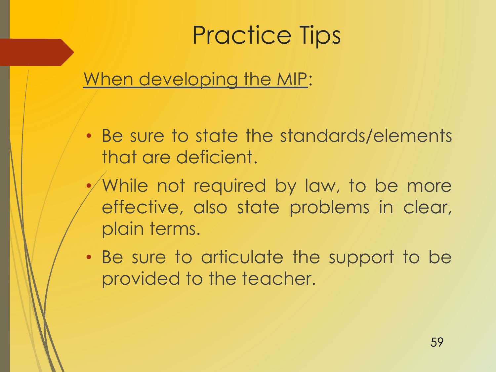When developing the MIP:

- Be sure to state the standards/elements that are deficient.
- While not required by law, to be more effective, also state problems in clear, plain terms.
- Be sure to articulate the support to be provided to the teacher.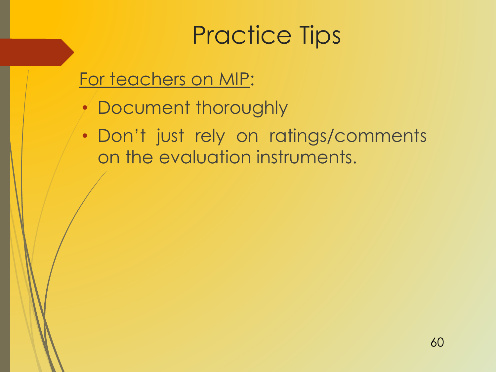### For teachers on MIP:

- Document thoroughly
- Don't just rely on ratings/comments on the evaluation instruments.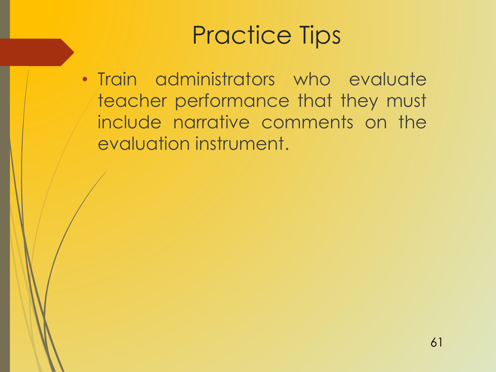• Train administrators who evaluate teacher performance that they must include narrative comments on the evaluation instrument.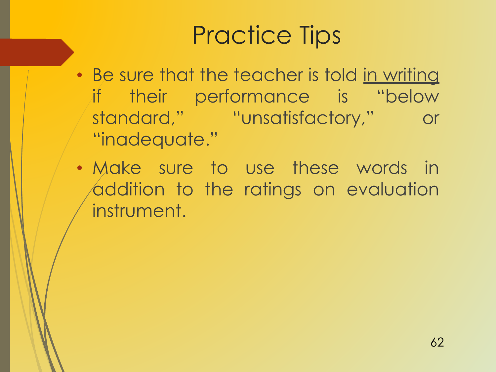- Be sure that the teacher is told in writing if their performance is "below standard," "unsatisfactory," or "inadequate."
- Make sure to use these words in addition to the ratings on evaluation instrument.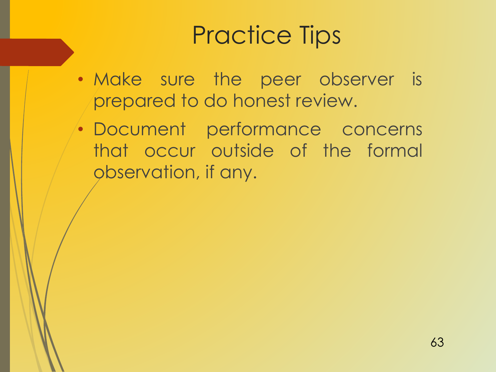- Make sure the peer observer is prepared to do honest review.
- Document performance concerns that occur outside of the formal observation, if any.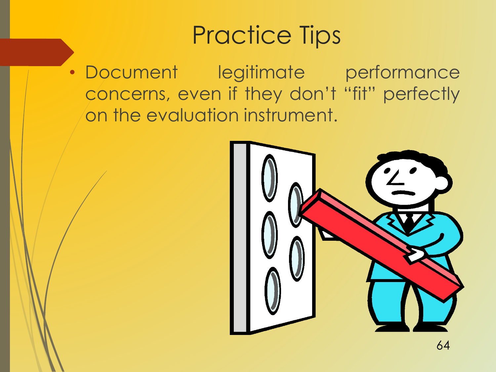• Document legitimate performance concerns, even if they don't "fit" perfectly on the evaluation instrument.